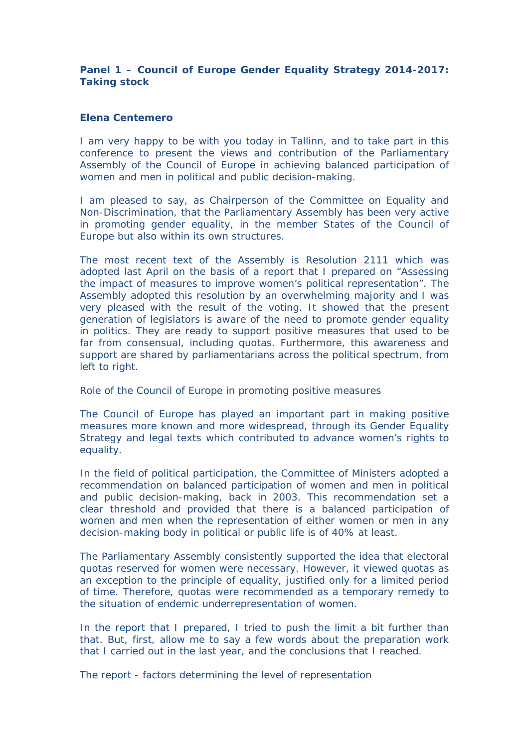**Panel 1 – Council of Europe Gender Equality Strategy 2014-2017: Taking stock**

# **Elena Centemero**

I am very happy to be with you today in Tallinn, and to take part in this conference to present the views and contribution of the Parliamentary Assembly of the Council of Europe in achieving balanced participation of women and men in political and public decision-making.

I am pleased to say, as Chairperson of the Committee on Equality and Non-Discrimination, that the Parliamentary Assembly has been very active in promoting gender equality, in the member States of the Council of Europe but also within its own structures.

The most recent text of the Assembly is Resolution 2111 which was adopted last April on the basis of a report that I prepared on "Assessing the impact of measures to improve women's political representation". The Assembly adopted this resolution by an overwhelming majority and I was very pleased with the result of the voting. It showed that the present generation of legislators is aware of the need to promote gender equality in politics. They are ready to support positive measures that used to be far from consensual, including quotas. Furthermore, this awareness and support are shared by parliamentarians across the political spectrum, from left to right.

## *Role of the Council of Europe in promoting positive measures*

The Council of Europe has played an important part in making positive measures more known and more widespread, through its Gender Equality Strategy and legal texts which contributed to advance women's rights to equality.

In the field of political participation, the Committee of Ministers adopted a recommendation on balanced participation of women and men in political and public decision-making, back in 2003. This recommendation set a clear threshold and provided that there is a balanced participation of women and men when the representation of either women or men in any decision-making body in political or public life is of 40% at least.

The Parliamentary Assembly consistently supported the idea that electoral quotas reserved for women were necessary. However, it viewed quotas as an exception to the principle of equality, justified only for a limited period of time. Therefore, quotas were recommended as a temporary remedy to the situation of endemic underrepresentation of women.

In the report that I prepared, I tried to push the limit a bit further than that. But, first, allow me to say a few words about the preparation work that I carried out in the last year, and the conclusions that I reached.

*The report - factors determining the level of representation*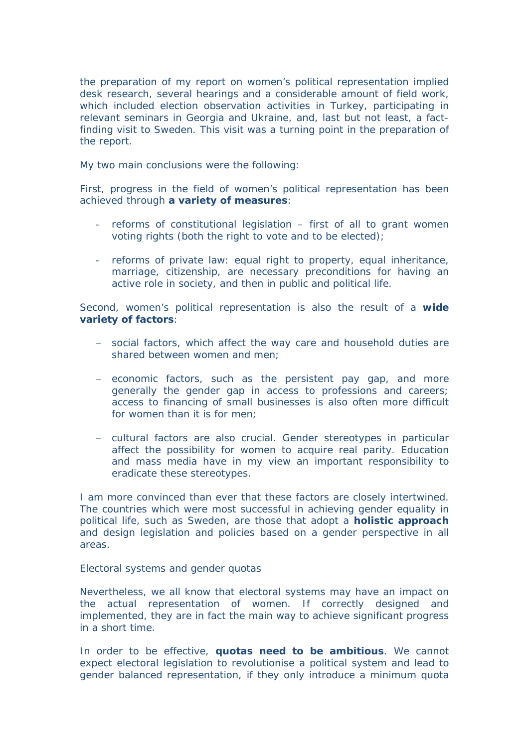the preparation of my report on women's political representation implied desk research, several hearings and a considerable amount of field work, which included election observation activities in Turkey, participating in relevant seminars in Georgia and Ukraine, and, last but not least, a factfinding visit to Sweden. This visit was a turning point in the preparation of the report.

My two main conclusions were the following:

First, progress in the field of women's political representation has been achieved through **a variety of measures**:

- reforms of constitutional legislation first of all to grant women voting rights (both the right to vote and to be elected);
- reforms of private law: equal right to property, equal inheritance, marriage, citizenship, are necessary preconditions for having an active role in society, and then in public and political life.

Second, women's political representation is also the result of a **wide variety of factors**:

- social factors, which affect the way care and household duties are shared between women and men;
- economic factors, such as the persistent pay gap, and more generally the gender gap in access to professions and careers; access to financing of small businesses is also often more difficult for women than it is for men;
- cultural factors are also crucial. Gender stereotypes in particular affect the possibility for women to acquire real parity. Education and mass media have in my view an important responsibility to eradicate these stereotypes.

I am more convinced than ever that these factors are closely intertwined. The countries which were most successful in achieving gender equality in political life, such as Sweden, are those that adopt a **holistic approach** and design legislation and policies based on a gender perspective in all areas.

## *Electoral systems and gender quotas*

Nevertheless, we all know that electoral systems may have an impact on the actual representation of women. If correctly designed and implemented, they are in fact the main way to achieve significant progress in a short time.

In order to be effective, **quotas need to be ambitious**. We cannot expect electoral legislation to revolutionise a political system and lead to gender balanced representation, if they only introduce a minimum quota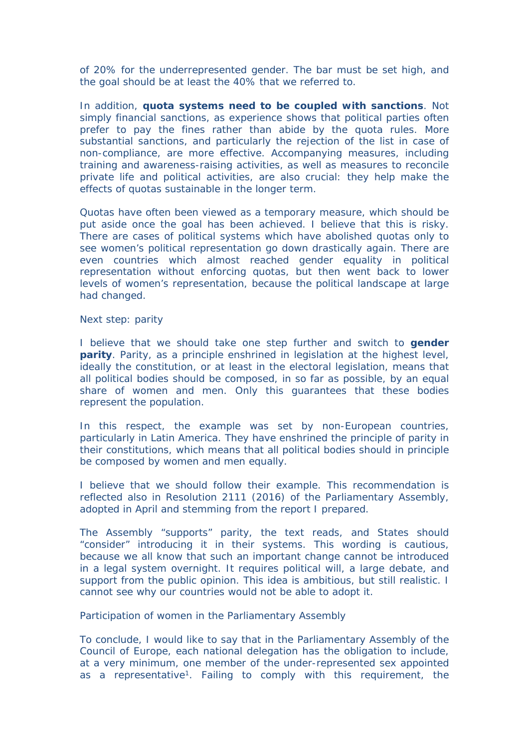of 20% for the underrepresented gender. The bar must be set high, and the goal should be at least the 40% that we referred to.

In addition, **quota systems need to be coupled with sanctions**. Not simply financial sanctions, as experience shows that political parties often prefer to pay the fines rather than abide by the quota rules. More substantial sanctions, and particularly the rejection of the list in case of non-compliance, are more effective. Accompanying measures, including training and awareness-raising activities, as well as measures to reconcile private life and political activities, are also crucial: they help make the effects of quotas sustainable in the longer term.

Quotas have often been viewed as a temporary measure, which should be put aside once the goal has been achieved. I believe that this is risky. There are cases of political systems which have abolished quotas only to see women's political representation go down drastically again. There are even countries which almost reached gender equality in political representation without enforcing quotas, but then went back to lower levels of women's representation, because the political landscape at large had changed.

## *Next step: parity*

I believe that we should take one step further and switch to **gender parity**. Parity, as a principle enshrined in legislation at the highest level, ideally the constitution, or at least in the electoral legislation, means that all political bodies should be composed, in so far as possible, by an equal share of women and men. Only this guarantees that these bodies represent the population.

In this respect, the example was set by non-European countries, particularly in Latin America. They have enshrined the principle of parity in their constitutions, which means that all political bodies should in principle be composed by women and men equally.

I believe that we should follow their example. This recommendation is reflected also in Resolution 2111 (2016) of the Parliamentary Assembly, adopted in April and stemming from the report I prepared.

The Assembly "supports" parity, the text reads, and States should "consider" introducing it in their systems. This wording is cautious, because we all know that such an important change cannot be introduced in a legal system overnight. It requires political will, a large debate, and support from the public opinion. This idea is ambitious, but still realistic. I cannot see why our countries would not be able to adopt it.

## *Participation of women in the Parliamentary Assembly*

To conclude, I would like to say that in the Parliamentary Assembly of the Council of Europe, each national delegation has the obligation to include, at a very minimum, one member of the under-represented sex appointed as a representative<sup>1</sup>. Failing to comply with this requirement, the